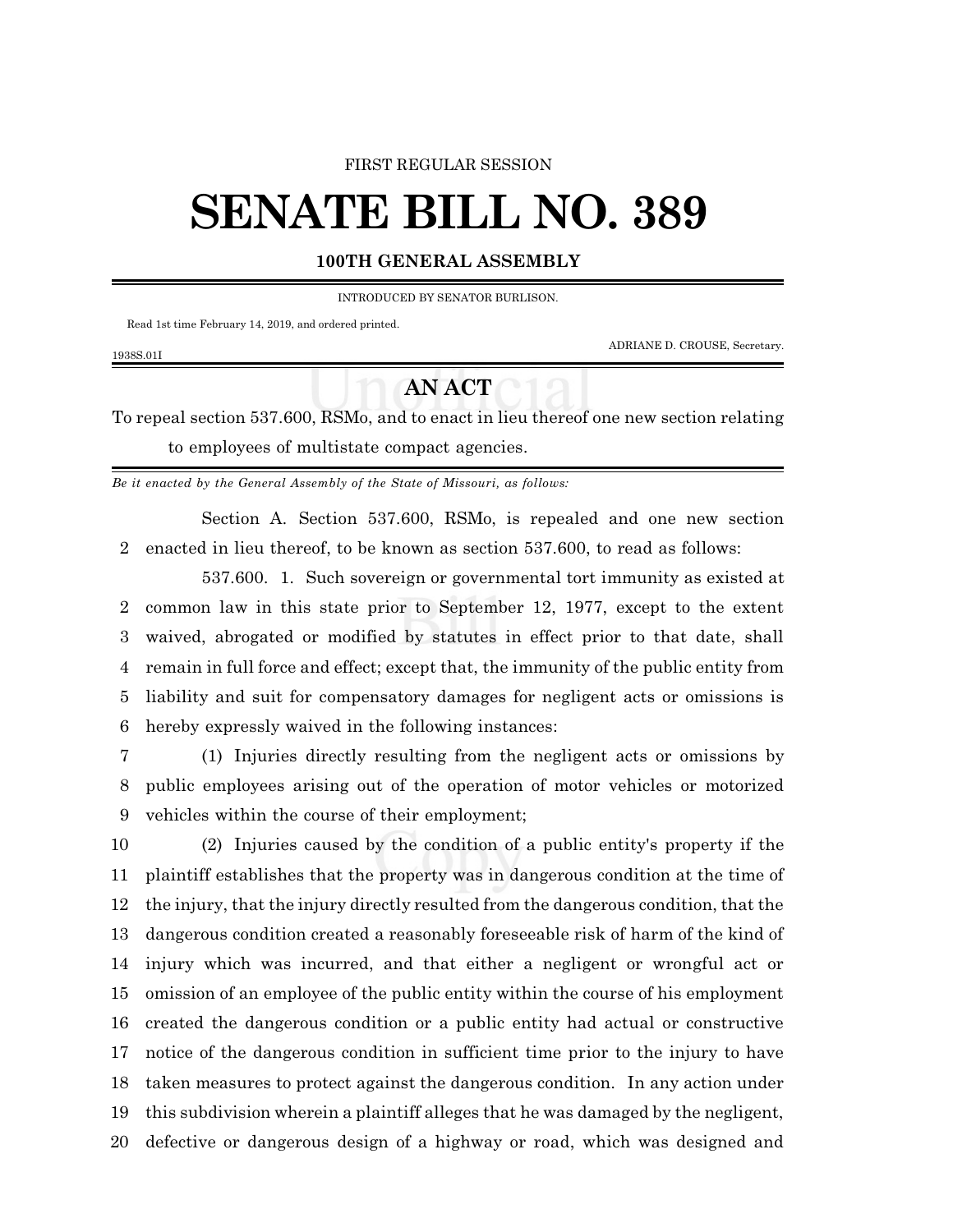## FIRST REGULAR SESSION

## **SENATE BILL NO. 389**

## **100TH GENERAL ASSEMBLY**

INTRODUCED BY SENATOR BURLISON.

Read 1st time February 14, 2019, and ordered printed.

1938S.01I

ADRIANE D. CROUSE, Secretary.

## **AN ACT**

To repeal section 537.600, RSMo, and to enact in lieu thereof one new section relating to employees of multistate compact agencies.

*Be it enacted by the General Assembly of the State of Missouri, as follows:*

Section A. Section 537.600, RSMo, is repealed and one new section enacted in lieu thereof, to be known as section 537.600, to read as follows:

537.600. 1. Such sovereign or governmental tort immunity as existed at common law in this state prior to September 12, 1977, except to the extent waived, abrogated or modified by statutes in effect prior to that date, shall remain in full force and effect; except that, the immunity of the public entity from liability and suit for compensatory damages for negligent acts or omissions is hereby expressly waived in the following instances:

 (1) Injuries directly resulting from the negligent acts or omissions by public employees arising out of the operation of motor vehicles or motorized vehicles within the course of their employment;

 (2) Injuries caused by the condition of a public entity's property if the plaintiff establishes that the property was in dangerous condition at the time of the injury, that the injury directly resulted from the dangerous condition, that the dangerous condition created a reasonably foreseeable risk of harm of the kind of injury which was incurred, and that either a negligent or wrongful act or omission of an employee of the public entity within the course of his employment created the dangerous condition or a public entity had actual or constructive notice of the dangerous condition in sufficient time prior to the injury to have taken measures to protect against the dangerous condition. In any action under this subdivision wherein a plaintiff alleges that he was damaged by the negligent, defective or dangerous design of a highway or road, which was designed and